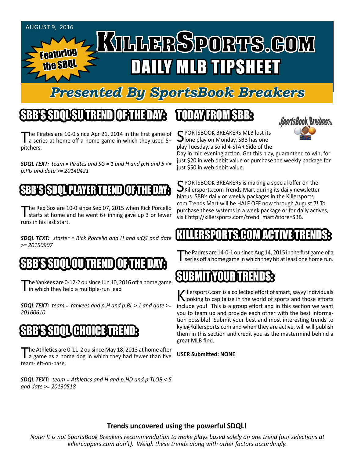

# *Presented By SportsBook Breakers*

# SBB'S SDQL SU TREND OF THE DAY:

The Pirates are 10-0 since Apr 21, 2014 in the first game of<br>a series at home off a home game in which they used 5+ pitchers.

*SDQL TEXT: team = Pirates and SG = 1 and H and p:H and 5 <= p:PU and date >= 20140421*

#### SBB'S SSPOLU PLAYER TREN

The Red Sox are 10-0 since Sep 07, 2015 when Rick Porcello<br>starts at home and he went 6+ inning gave up 3 or fewer runs in his last start.

*SDQL TEXT: starter = Rick Porcello and H and s:QS and date >= 20150907*



'he Yankees are 0-12-2 ou since Jun 10, 2016 off a home game I in which they held a multiple-run lead

*SDQL TEXT: team = Yankees and p:H and p:BL > 1 and date >= 20160610*

#### SBB'S SDQL CHOICE TREND

The Athletics are 0-11-2 ou since May 18, 2013 at home after<br>a game as a home dog in which they had fewer than five team-left-on-base.

*SDQL TEXT: team = Athletics and H and p:HD and p:TLOB < 5 and date >= 20130518*

### TODAY HAOMSBB



C PORTSBOOK BREAKERS MLB lost its **J**lone play on Monday. SBB has one play Tuesday, a solid 4-STAR Side of the

Day in mid evening action. Get this play, guaranteed to win, for just \$20 in web debit value or purchase the weekly package for just \$50 in web debit value.

**C** PORTSBOOK BREAKERS is making a special offer on the  $\bigcup$ Killersports.com Trends Mart during its daily newsletter hiatus. SBB's daily or weekly packages in the Killersports. com Trends Mart will be HALF OFF now through August 7! To purchase these systems in a week package or for daily actives, visit http://killersports.com/trend\_mart?store=SBB.

#### KILLERSPORTS.COM ACTIVE TRENDS:

The Padres are 14-0-1 ou since Aug 14, 2015 in the first game of a<br>series off a home game in which they hit at least one home run.

# SUBMITYOURTRENDS:

Killersports.com is a collected effort of smart, savvy individuals<br>Nooking to capitalize in the world of sports and those efforts include you! This is a group effort and in this section we want you to team up and provide each other with the best information possible! Submit your best and most interesting trends to kyle@killersports.com and when they are active, will will publish them in this section and credit you as the mastermind behind a great MLB find.

**USER Submitted: NONE**

#### **Trends uncovered using the powerful SDQL!**

*Note: It is not SportsBook Breakers recommendation to make plays based solely on one trend (our selections at killercappers.com don't). Weigh these trends along with other factors accordingly.*